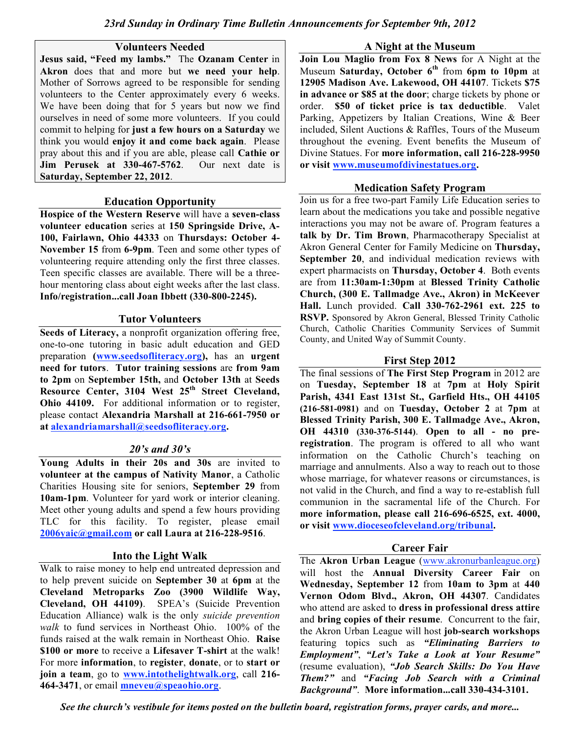### **Volunteers Needed**

**Jesus said, "Feed my lambs."** The **Ozanam Center** in **Akron** does that and more but **we need your help**. Mother of Sorrows agreed to be responsible for sending volunteers to the Center approximately every 6 weeks. We have been doing that for 5 years but now we find ourselves in need of some more volunteers. If you could commit to helping for **just a few hours on a Saturday** we think you would **enjoy it and come back again**. Please pray about this and if you are able, please call **Cathie or Jim Perusek at 330-467-5762**. Our next date is **Saturday, September 22, 2012**.

### **Education Opportunity**

**Hospice of the Western Reserve** will have a **seven-class volunteer education** series at **150 Springside Drive, A-100, Fairlawn, Ohio 44333** on **Thursdays: October 4- November 15** from **6-9pm**. Teen and some other types of volunteering require attending only the first three classes. Teen specific classes are available. There will be a threehour mentoring class about eight weeks after the last class. **Info/registration...call Joan Ibbett (330-800-2245).**

### **Tutor Volunteers**

**Seeds of Literacy,** a nonprofit organization offering free, one-to-one tutoring in basic adult education and GED preparation **(www.seedsofliteracy.org),** has an **urgent need for tutors**. **Tutor training sessions** are **from 9am to 2pm** on **September 15th,** and **October 13th** at **Seeds Resource Center, 3104 West 25th Street Cleveland, Ohio 44109.** For additional information or to register, please contact **Alexandria Marshall at 216-661-7950 or at alexandriamarshall@seedsofliteracy.org.**

# *20's and 30's*

**Young Adults in their 20s and 30s** are invited to **volunteer at the campus of Nativity Manor**, a Catholic Charities Housing site for seniors, **September 29** from **10am-1pm**. Volunteer for yard work or interior cleaning. Meet other young adults and spend a few hours providing TLC for this facility. To register, please email **2006yaic@gmail.com or call Laura at 216-228-9516**.

# **Into the Light Walk**

Walk to raise money to help end untreated depression and to help prevent suicide on **September 30** at **6pm** at the **Cleveland Metroparks Zoo (3900 Wildlife Way, Cleveland, OH 44109)**. SPEA's (Suicide Prevention Education Alliance) walk is the only *suicide prevention walk* to fund services in Northeast Ohio. 100% of the funds raised at the walk remain in Northeast Ohio. **Raise \$100 or more** to receive a **Lifesaver T-shirt** at the walk! For more **information**, to **register**, **donate**, or to **start or join a team**, go to **www.intothelightwalk.org**, call **216- 464-3471**, or email **mneveu@speaohio.org**.

### **A Night at the Museum**

**Join Lou Maglio from Fox 8 News** for A Night at the Museum **Saturday, October 6th** from **6pm to 10pm** at **12905 Madison Ave. Lakewood, OH 44107**. Tickets **\$75 in advance or \$85 at the door**; charge tickets by phone or order. **\$50 of ticket price is tax deductible**. Valet Parking, Appetizers by Italian Creations, Wine & Beer included, Silent Auctions & Raffles, Tours of the Museum throughout the evening. Event benefits the Museum of Divine Statues. For **more information, call 216-228-9950 or visit www.museumofdivinestatues.org.**

### **Medication Safety Program**

Join us for a free two-part Family Life Education series to learn about the medications you take and possible negative interactions you may not be aware of. Program features a **talk by Dr. Tim Brown**, Pharmacotherapy Specialist at Akron General Center for Family Medicine on **Thursday, September 20**, and individual medication reviews with expert pharmacists on **Thursday, October 4**. Both events are from **11:30am-1:30pm** at **Blessed Trinity Catholic Church, (300 E. Tallmadge Ave., Akron) in McKeever Hall.** Lunch provided. **Call 330-762-2961 ext. 225 to RSVP.** Sponsored by Akron General, Blessed Trinity Catholic Church, Catholic Charities Community Services of Summit County, and United Way of Summit County.

# **First Step 2012**

The final sessions of **The First Step Program** in 2012 are on **Tuesday, September 18** at **7pm** at **Holy Spirit Parish, 4341 East 131st St., Garfield Hts., OH 44105 (216-581-0981)** and on **Tuesday, October 2** at **7pm** at **Blessed Trinity Parish, 300 E. Tallmadge Ave., Akron, OH 44310 (330-376-5144)**. **Open to all - no preregistration**. The program is offered to all who want information on the Catholic Church's teaching on marriage and annulments. Also a way to reach out to those whose marriage, for whatever reasons or circumstances, is not valid in the Church, and find a way to re-establish full communion in the sacramental life of the Church. For **more information, please call 216-696-6525, ext. 4000, or visit www.dioceseofcleveland.org/tribunal.**

# **Career Fair**

The **Akron Urban League** (www.akronurbanleague.org) will host the **Annual Diversity Career Fair** on **Wednesday, September 12** from **10am to 3pm** at **440 Vernon Odom Blvd., Akron, OH 44307**. Candidates who attend are asked to **dress in professional dress attire** and **bring copies of their resume**. Concurrent to the fair, the Akron Urban League will host **job-search workshops** featuring topics such as *"Eliminating Barriers to Employment"*, *"Let's Take a Look at Your Resume"* (resume evaluation), *"Job Search Skills: Do You Have Them?"* and *"Facing Job Search with a Criminal Background"*. **More information...call 330-434-3101.**

*See the church's vestibule for items posted on the bulletin board, registration forms, prayer cards, and more...*